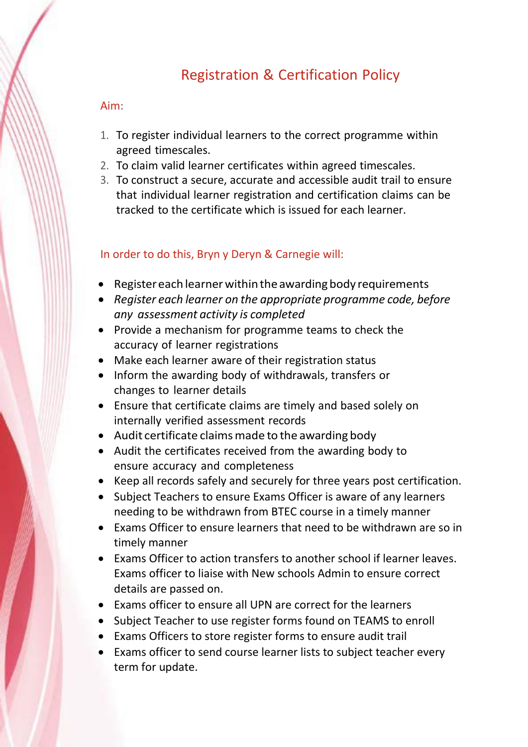## Registration & Certification Policy

## Aim:

- 1. To register individual learners to the correct programme within agreed timescales.
- 2. To claim valid learner certificates within agreed timescales.
- 3. To construct a secure, accurate and accessible audit trail to ensure that individual learner registration and certification claims can be tracked to the certificate which is issued for each learner.

## In order to do this, Bryn y Deryn & Carnegie will:

- Register each learner within the awarding body requirements
- *Register each learner on the appropriate programme code, before any assessment activity is completed*
- Provide a mechanism for programme teams to check the accuracy of learner registrations
- Make each learner aware of their registration status
- Inform the awarding body of withdrawals, transfers or changes to learner details
- Ensure that certificate claims are timely and based solely on internally verified assessment records
- Audit certificate claims made to the awarding body
- Audit the certificates received from the awarding body to ensure accuracy and completeness
- Keep all records safely and securely for three years post certification.
- Subject Teachers to ensure Exams Officer is aware of any learners needing to be withdrawn from BTEC course in a timely manner
- Exams Officer to ensure learners that need to be withdrawn are so in timely manner
- Exams Officer to action transfers to another school if learner leaves. Exams officer to liaise with New schools Admin to ensure correct details are passed on.
- Exams officer to ensure all UPN are correct for the learners
- Subject Teacher to use register forms found on TEAMS to enroll
- Exams Officers to store register forms to ensure audit trail
- Exams officer to send course learner lists to subject teacher every term for update.